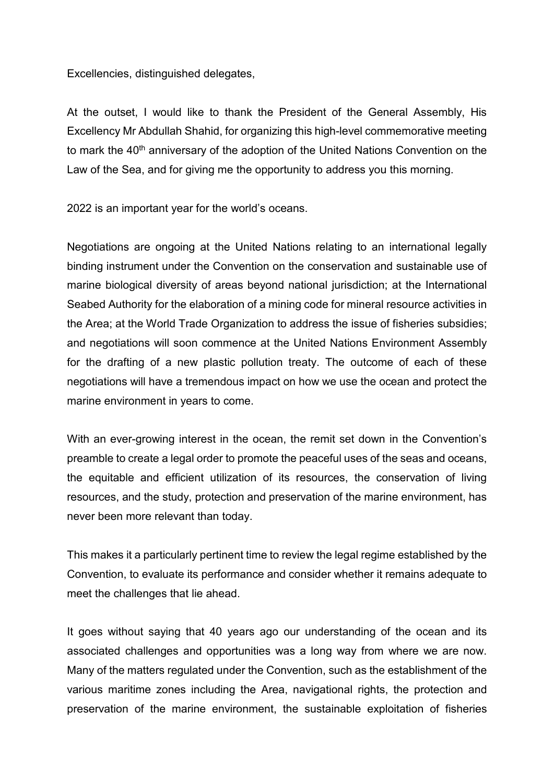Excellencies, distinguished delegates,

At the outset, I would like to thank the President of the General Assembly, His Excellency Mr Abdullah Shahid, for organizing this high-level commemorative meeting to mark the 40<sup>th</sup> anniversary of the adoption of the United Nations Convention on the Law of the Sea, and for giving me the opportunity to address you this morning.

2022 is an important year for the world's oceans.

Negotiations are ongoing at the United Nations relating to an international legally binding instrument under the Convention on the conservation and sustainable use of marine biological diversity of areas beyond national jurisdiction; at the International Seabed Authority for the elaboration of a mining code for mineral resource activities in the Area; at the World Trade Organization to address the issue of fisheries subsidies; and negotiations will soon commence at the United Nations Environment Assembly for the drafting of a new plastic pollution treaty. The outcome of each of these negotiations will have a tremendous impact on how we use the ocean and protect the marine environment in years to come.

With an ever-growing interest in the ocean, the remit set down in the Convention's preamble to create a legal order to promote the peaceful uses of the seas and oceans, the equitable and efficient utilization of its resources, the conservation of living resources, and the study, protection and preservation of the marine environment, has never been more relevant than today.

This makes it a particularly pertinent time to review the legal regime established by the Convention, to evaluate its performance and consider whether it remains adequate to meet the challenges that lie ahead.

It goes without saying that 40 years ago our understanding of the ocean and its associated challenges and opportunities was a long way from where we are now. Many of the matters regulated under the Convention, such as the establishment of the various maritime zones including the Area, navigational rights, the protection and preservation of the marine environment, the sustainable exploitation of fisheries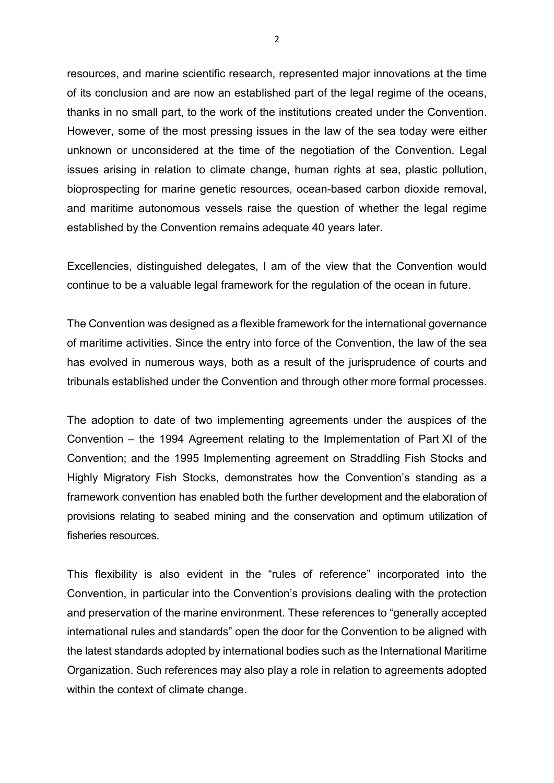resources, and marine scientific research, represented major innovations at the time of its conclusion and are now an established part of the legal regime of the oceans, thanks in no small part, to the work of the institutions created under the Convention. However, some of the most pressing issues in the law of the sea today were either unknown or unconsidered at the time of the negotiation of the Convention. Legal issues arising in relation to climate change, human rights at sea, plastic pollution, bioprospecting for marine genetic resources, ocean-based carbon dioxide removal, and maritime autonomous vessels raise the question of whether the legal regime established by the Convention remains adequate 40 years later.

Excellencies, distinguished delegates, I am of the view that the Convention would continue to be a valuable legal framework for the regulation of the ocean in future.

The Convention was designed as a flexible framework for the international governance of maritime activities. Since the entry into force of the Convention, the law of the sea has evolved in numerous ways, both as a result of the jurisprudence of courts and tribunals established under the Convention and through other more formal processes.

The adoption to date of two implementing agreements under the auspices of the Convention – the 1994 Agreement relating to the Implementation of Part XI of the Convention; and the 1995 Implementing agreement on Straddling Fish Stocks and Highly Migratory Fish Stocks, demonstrates how the Convention's standing as a framework convention has enabled both the further development and the elaboration of provisions relating to seabed mining and the conservation and optimum utilization of fisheries resources.

This flexibility is also evident in the "rules of reference" incorporated into the Convention, in particular into the Convention's provisions dealing with the protection and preservation of the marine environment. These references to "generally accepted international rules and standards" open the door for the Convention to be aligned with the latest standards adopted by international bodies such as the International Maritime Organization. Such references may also play a role in relation to agreements adopted within the context of climate change.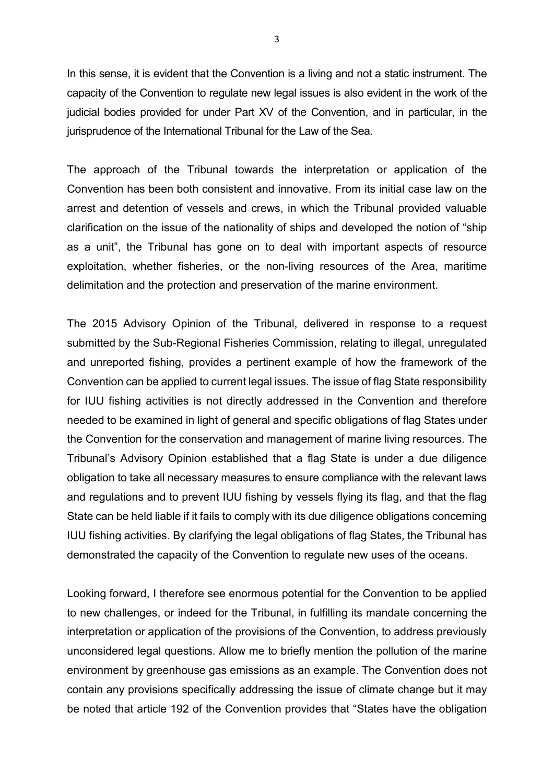In this sense, it is evident that the Convention is a living and not a static instrument. The capacity of the Convention to regulate new legal issues is also evident in the work of the judicial bodies provided for under Part XV of the Convention, and in particular, in the jurisprudence of the International Tribunal for the Law of the Sea.

The approach of the Tribunal towards the interpretation or application of the Convention has been both consistent and innovative. From its initial case law on the arrest and detention of vessels and crews, in which the Tribunal provided valuable clarification on the issue of the nationality of ships and developed the notion of "ship as a unit", the Tribunal has gone on to deal with important aspects of resource exploitation, whether fisheries, or the non-living resources of the Area, maritime delimitation and the protection and preservation of the marine environment.

The 2015 Advisory Opinion of the Tribunal, delivered in response to a request submitted by the Sub-Regional Fisheries Commission, relating to illegal, unregulated and unreported fishing, provides a pertinent example of how the framework of the Convention can be applied to current legal issues. The issue of flag State responsibility for IUU fishing activities is not directly addressed in the Convention and therefore needed to be examined in light of general and specific obligations of flag States under the Convention for the conservation and management of marine living resources. The Tribunal's Advisory Opinion established that a flag State is under a due diligence obligation to take all necessary measures to ensure compliance with the relevant laws and regulations and to prevent IUU fishing by vessels flying its flag, and that the flag State can be held liable if it fails to comply with its due diligence obligations concerning IUU fishing activities. By clarifying the legal obligations of flag States, the Tribunal has demonstrated the capacity of the Convention to regulate new uses of the oceans.

Looking forward, I therefore see enormous potential for the Convention to be applied to new challenges, or indeed for the Tribunal, in fulfilling its mandate concerning the interpretation or application of the provisions of the Convention, to address previously unconsidered legal questions. Allow me to briefly mention the pollution of the marine environment by greenhouse gas emissions as an example. The Convention does not contain any provisions specifically addressing the issue of climate change but it may be noted that article 192 of the Convention provides that "States have the obligation